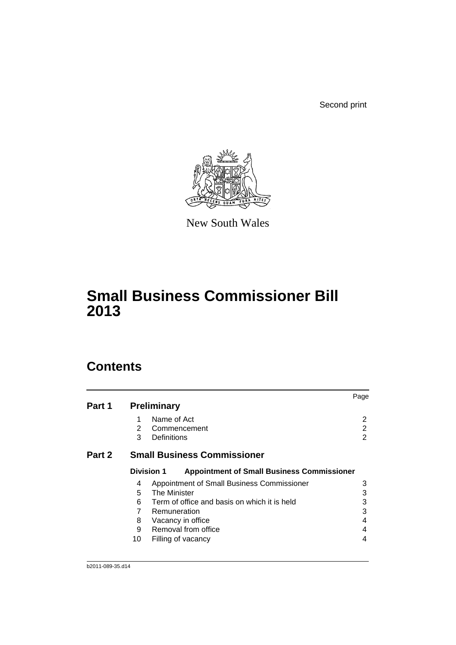Second print



New South Wales

# **Small Business Commissioner Bill 2013**

# **Contents**

|        |              |                                                                        | Page |
|--------|--------------|------------------------------------------------------------------------|------|
| Part 1 |              | <b>Preliminary</b>                                                     |      |
|        | 1            | Name of Act                                                            | 2    |
|        | $\mathbf{2}$ | Commencement                                                           | 2    |
|        | 3            | Definitions                                                            | 2    |
| Part 2 |              | <b>Small Business Commissioner</b>                                     |      |
|        |              | <b>Division 1</b><br><b>Appointment of Small Business Commissioner</b> |      |
|        | 4            | Appointment of Small Business Commissioner                             | 3    |
|        | 5            | <b>The Minister</b>                                                    | 3    |
|        | 6            | Term of office and basis on which it is held                           | 3    |
|        | 7            | Remuneration                                                           | 3    |
|        | 8            | Vacancy in office                                                      | 4    |
|        | 9            | Removal from office                                                    | 4    |
|        | 10           | Filling of vacancy                                                     | 4    |
|        |              |                                                                        |      |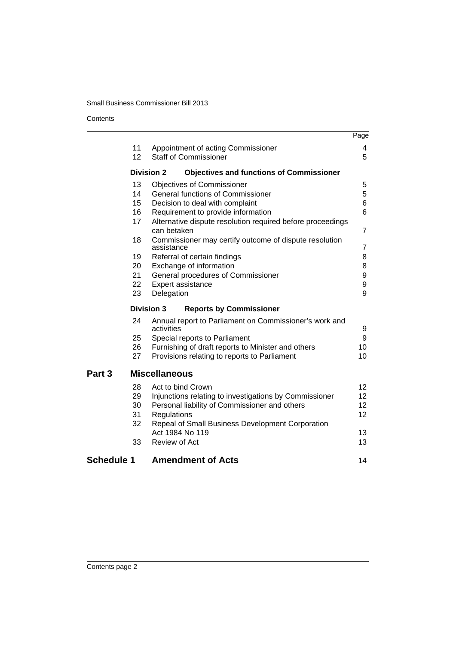# Small Business Commissioner Bill 2013

# **Contents**

|                   |                   |                                                                           | Page           |
|-------------------|-------------------|---------------------------------------------------------------------------|----------------|
|                   | 11                | Appointment of acting Commissioner                                        | 4              |
|                   | 12 <sup>2</sup>   | <b>Staff of Commissioner</b>                                              | 5              |
|                   | <b>Division 2</b> | <b>Objectives and functions of Commissioner</b>                           |                |
|                   | 13                | <b>Objectives of Commissioner</b>                                         | 5              |
|                   | 14                | General functions of Commissioner                                         | 5              |
|                   | 15                | Decision to deal with complaint                                           | 6              |
|                   | 16                | Requirement to provide information                                        | 6              |
|                   | 17                | Alternative dispute resolution required before proceedings<br>can betaken | $\overline{7}$ |
|                   | 18                | Commissioner may certify outcome of dispute resolution<br>assistance      | 7              |
|                   | 19                | Referral of certain findings                                              | 8              |
|                   | 20                | Exchange of information                                                   | 8              |
|                   | 21                | General procedures of Commissioner                                        | 9              |
|                   | 22                | Expert assistance                                                         | 9              |
|                   | 23                | Delegation                                                                | 9              |
|                   | <b>Division 3</b> | <b>Reports by Commissioner</b>                                            |                |
|                   | 24                | Annual report to Parliament on Commissioner's work and<br>activities      | 9              |
|                   | 25                | Special reports to Parliament                                             | 9              |
|                   | 26                | Furnishing of draft reports to Minister and others                        | 10             |
|                   | 27                | Provisions relating to reports to Parliament                              | 10             |
| Part <sub>3</sub> |                   | <b>Miscellaneous</b>                                                      |                |
|                   | 28                | Act to bind Crown                                                         | 12             |
|                   | 29                | Injunctions relating to investigations by Commissioner                    | 12             |
|                   | 30                | Personal liability of Commissioner and others                             | 12             |
|                   | 31                | Regulations                                                               | 12             |
|                   | 32                | Repeal of Small Business Development Corporation                          |                |
|                   |                   | Act 1984 No 119                                                           | 13             |
|                   | 33                | Review of Act                                                             | 13             |
| <b>Schedule 1</b> |                   | <b>Amendment of Acts</b>                                                  | 14             |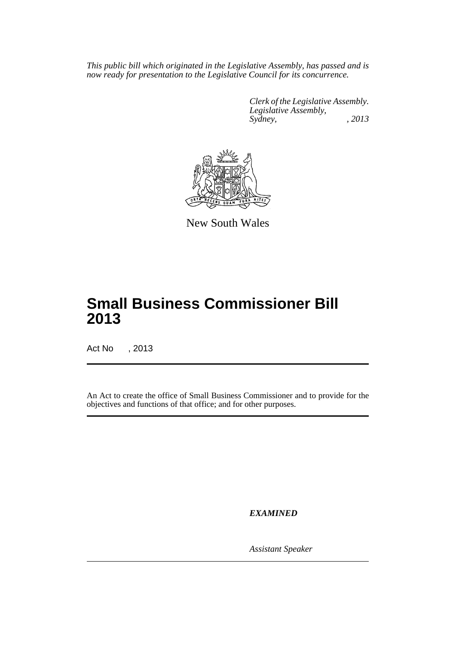*This public bill which originated in the Legislative Assembly, has passed and is now ready for presentation to the Legislative Council for its concurrence.*

> *Clerk of the Legislative Assembly. Legislative Assembly, Sydney, , 2013*



New South Wales

# **Small Business Commissioner Bill 2013**

Act No , 2013

An Act to create the office of Small Business Commissioner and to provide for the objectives and functions of that office; and for other purposes.

*EXAMINED*

*Assistant Speaker*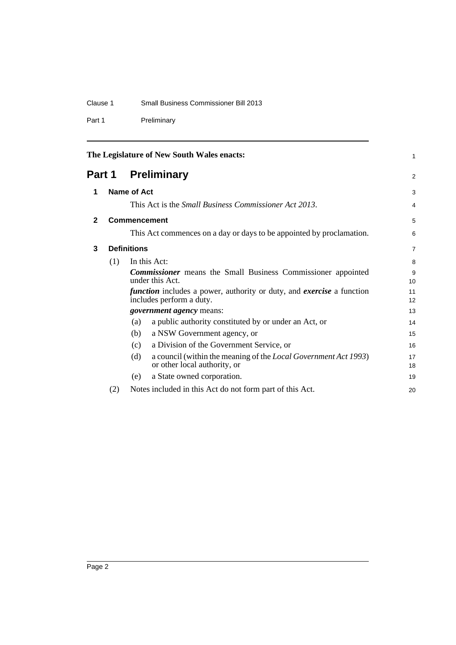# Clause 1 Small Business Commissioner Bill 2013

Part 1 Preliminary

<span id="page-3-3"></span><span id="page-3-2"></span><span id="page-3-1"></span><span id="page-3-0"></span>

|              |                    | The Legislature of New South Wales enacts:                                                                      | 1        |
|--------------|--------------------|-----------------------------------------------------------------------------------------------------------------|----------|
|              |                    | <b>Part 1 Preliminary</b>                                                                                       | 2        |
| 1            | Name of Act        |                                                                                                                 | 3        |
|              |                    | This Act is the <i>Small Business Commissioner Act 2013</i> .                                                   | 4        |
| $\mathbf{2}$ |                    | <b>Commencement</b>                                                                                             | 5        |
|              |                    | This Act commences on a day or days to be appointed by proclamation.                                            | 6        |
| 3            | <b>Definitions</b> |                                                                                                                 |          |
|              | (1)                | In this Act:                                                                                                    | 8        |
|              |                    | <b>Commissioner</b> means the Small Business Commissioner appointed<br>under this Act.                          | 9<br>10  |
|              |                    | <i>function</i> includes a power, authority or duty, and <i>exercise</i> a function<br>includes perform a duty. | 11<br>12 |
|              |                    | <i>government agency</i> means:                                                                                 | 13       |
|              |                    | a public authority constituted by or under an Act, or<br>(a)                                                    | 14       |
|              |                    | a NSW Government agency, or<br>(b)                                                                              | 15       |
|              |                    | a Division of the Government Service, or<br>(c)                                                                 | 16       |
|              |                    | (d)<br>a council (within the meaning of the <i>Local Government Act 1993</i> )<br>or other local authority, or  | 17<br>18 |
|              |                    | a State owned corporation.<br>(e)                                                                               | 19       |
|              | (2)                | Notes included in this Act do not form part of this Act.                                                        | 20       |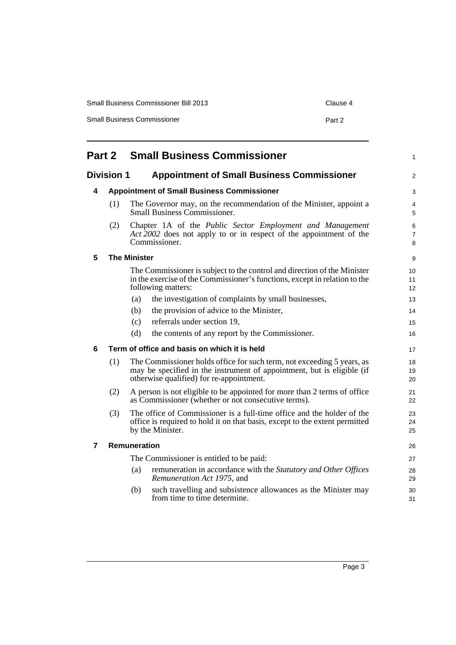| <b>Small Business Commissioner Bill 2013</b> | Clause 4 |
|----------------------------------------------|----------|
| <b>Small Business Commissioner</b>           | Part 2   |

<span id="page-4-5"></span><span id="page-4-4"></span><span id="page-4-3"></span><span id="page-4-2"></span><span id="page-4-1"></span><span id="page-4-0"></span>

| <b>Small Business Commissioner</b><br>Part 2                           |     |                                                                                                                                                                                              | 1              |  |
|------------------------------------------------------------------------|-----|----------------------------------------------------------------------------------------------------------------------------------------------------------------------------------------------|----------------|--|
| <b>Division 1</b><br><b>Appointment of Small Business Commissioner</b> |     |                                                                                                                                                                                              | 2              |  |
| 4                                                                      |     | <b>Appointment of Small Business Commissioner</b>                                                                                                                                            |                |  |
|                                                                        | (1) | The Governor may, on the recommendation of the Minister, appoint a<br><b>Small Business Commissioner.</b>                                                                                    | 4<br>5         |  |
|                                                                        | (2) | Chapter 1A of the Public Sector Employment and Management<br>Act 2002 does not apply to or in respect of the appointment of the<br>Commissioner.                                             | 6<br>7<br>8    |  |
| 5                                                                      |     | <b>The Minister</b>                                                                                                                                                                          | 9              |  |
|                                                                        |     | The Commissioner is subject to the control and direction of the Minister<br>in the exercise of the Commissioner's functions, except in relation to the<br>following matters:                 | 10<br>11<br>12 |  |
|                                                                        |     | the investigation of complaints by small businesses,<br>(a)                                                                                                                                  | 13             |  |
|                                                                        |     | the provision of advice to the Minister,<br>(b)                                                                                                                                              | 14             |  |
|                                                                        |     | referrals under section 19,<br>(c)                                                                                                                                                           | 15             |  |
|                                                                        |     | (d)<br>the contents of any report by the Commissioner.                                                                                                                                       | 16             |  |
| 6                                                                      |     | Term of office and basis on which it is held                                                                                                                                                 | 17             |  |
|                                                                        | (1) | The Commissioner holds office for such term, not exceeding 5 years, as<br>may be specified in the instrument of appointment, but is eligible (if<br>otherwise qualified) for re-appointment. | 18<br>19<br>20 |  |
|                                                                        | (2) | A person is not eligible to be appointed for more than 2 terms of office<br>as Commissioner (whether or not consecutive terms).                                                              | 21<br>22       |  |
|                                                                        | (3) | The office of Commissioner is a full-time office and the holder of the<br>office is required to hold it on that basis, except to the extent permitted<br>by the Minister.                    | 23<br>24<br>25 |  |
| $\overline{7}$                                                         |     | Remuneration                                                                                                                                                                                 | 26             |  |
|                                                                        |     | The Commissioner is entitled to be paid:                                                                                                                                                     | 27             |  |
|                                                                        |     | remuneration in accordance with the Statutory and Other Offices<br>(a)<br>Remuneration Act 1975, and                                                                                         | 28<br>29       |  |
|                                                                        |     | such travelling and subsistence allowances as the Minister may<br>(b)<br>from time to time determine.                                                                                        | 30<br>31       |  |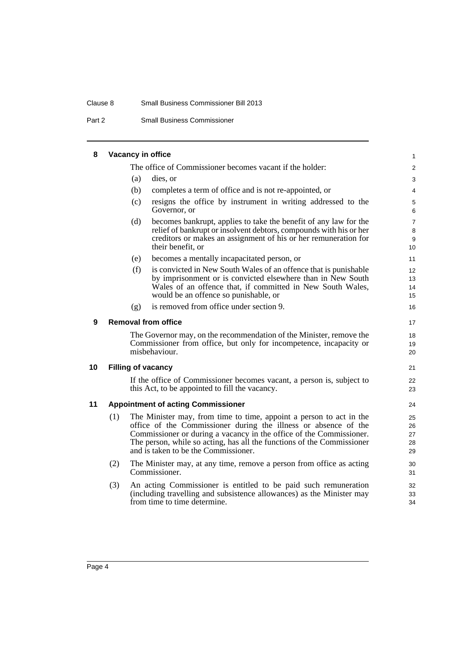#### Clause 8 Small Business Commissioner Bill 2013

Part 2 Small Business Commissioner

### **8 Vacancy in office**

<span id="page-5-3"></span><span id="page-5-2"></span><span id="page-5-1"></span><span id="page-5-0"></span>The office of Commissioner becomes vacant if the holder: (a) dies, or (b) completes a term of office and is not re-appointed, or (c) resigns the office by instrument in writing addressed to the Governor, or (d) becomes bankrupt, applies to take the benefit of any law for the relief of bankrupt or insolvent debtors, compounds with his or her creditors or makes an assignment of his or her remuneration for their benefit, or (e) becomes a mentally incapacitated person, or (f) is convicted in New South Wales of an offence that is punishable by imprisonment or is convicted elsewhere than in New South Wales of an offence that, if committed in New South Wales, would be an offence so punishable, or (g) is removed from office under section 9. **9 Removal from office** The Governor may, on the recommendation of the Minister, remove the Commissioner from office, but only for incompetence, incapacity or misbehaviour. **10 Filling of vacancy** If the office of Commissioner becomes vacant, a person is, subject to this Act, to be appointed to fill the vacancy. **11 Appointment of acting Commissioner** (1) The Minister may, from time to time, appoint a person to act in the office of the Commissioner during the illness or absence of the Commissioner or during a vacancy in the office of the Commissioner. The person, while so acting, has all the functions of the Commissioner and is taken to be the Commissioner. (2) The Minister may, at any time, remove a person from office as acting Commissioner. (3) An acting Commissioner is entitled to be paid such remuneration (including travelling and subsistence allowances) as the Minister may from time to time determine. 1  $\mathfrak{p}$ 3 4 5 6 7 8 9 10 11 12 13 14 15 16 17 18 19 20 21 22 23 24 25 26 27 28 29 30 31 32 33 34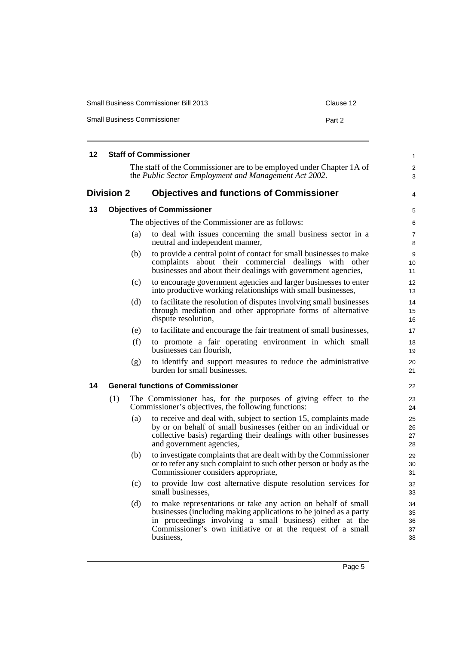| <b>Small Business Commissioner Bill 2013</b> | Clause 12 |
|----------------------------------------------|-----------|
| <b>Small Business Commissioner</b>           | Part 2    |

<span id="page-6-3"></span><span id="page-6-2"></span><span id="page-6-1"></span><span id="page-6-0"></span>

| 12 |                   |     | <b>Staff of Commissioner</b>                                                                                                                                                                                                                                              | 1                          |
|----|-------------------|-----|---------------------------------------------------------------------------------------------------------------------------------------------------------------------------------------------------------------------------------------------------------------------------|----------------------------|
|    |                   |     | The staff of the Commissioner are to be employed under Chapter 1A of<br>the Public Sector Employment and Management Act 2002.                                                                                                                                             | 2<br>3                     |
|    | <b>Division 2</b> |     | <b>Objectives and functions of Commissioner</b>                                                                                                                                                                                                                           | 4                          |
| 13 |                   |     | <b>Objectives of Commissioner</b>                                                                                                                                                                                                                                         | 5                          |
|    |                   |     | The objectives of the Commissioner are as follows:                                                                                                                                                                                                                        | 6                          |
|    |                   | (a) | to deal with issues concerning the small business sector in a<br>neutral and independent manner,                                                                                                                                                                          | $\overline{7}$<br>8        |
|    |                   | (b) | to provide a central point of contact for small businesses to make<br>complaints about their commercial dealings with other<br>businesses and about their dealings with government agencies,                                                                              | 9<br>10<br>11              |
|    |                   | (c) | to encourage government agencies and larger businesses to enter<br>into productive working relationships with small businesses,                                                                                                                                           | 12<br>13                   |
|    |                   | (d) | to facilitate the resolution of disputes involving small businesses<br>through mediation and other appropriate forms of alternative<br>dispute resolution,                                                                                                                | 14<br>15<br>16             |
|    |                   | (e) | to facilitate and encourage the fair treatment of small businesses,                                                                                                                                                                                                       | 17                         |
|    |                   | (f) | to promote a fair operating environment in which small<br>businesses can flourish,                                                                                                                                                                                        | 18<br>19                   |
|    |                   | (g) | to identify and support measures to reduce the administrative<br>burden for small businesses.                                                                                                                                                                             | 20<br>21                   |
| 14 |                   |     | <b>General functions of Commissioner</b>                                                                                                                                                                                                                                  | 22                         |
|    | (1)               |     | The Commissioner has, for the purposes of giving effect to the<br>Commissioner's objectives, the following functions:                                                                                                                                                     | 23<br>24                   |
|    |                   | (a) | to receive and deal with, subject to section 15, complaints made<br>by or on behalf of small businesses (either on an individual or<br>collective basis) regarding their dealings with other businesses<br>and government agencies,                                       | 25<br>26<br>27<br>28       |
|    |                   | (b) | to investigate complaints that are dealt with by the Commissioner<br>or to refer any such complaint to such other person or body as the<br>Commissioner considers appropriate,                                                                                            | 29<br>30<br>31             |
|    |                   | (c) | to provide low cost alternative dispute resolution services for<br>small businesses,                                                                                                                                                                                      | 32<br>33                   |
|    |                   | (d) | to make representations or take any action on behalf of small<br>businesses (including making applications to be joined as a party<br>in proceedings involving a small business) either at the<br>Commissioner's own initiative or at the request of a small<br>business, | 34<br>35<br>36<br>37<br>38 |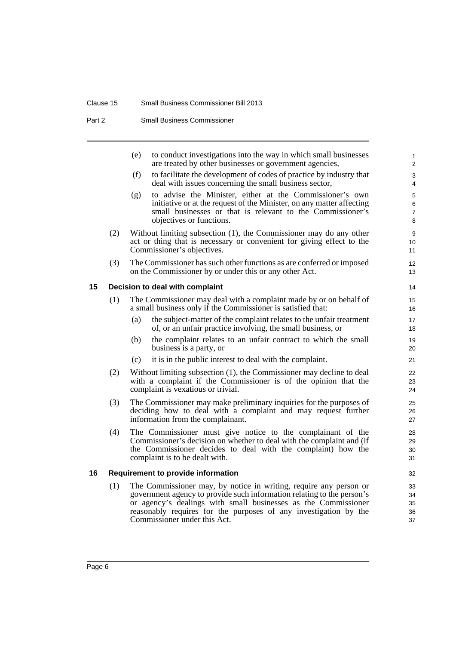# Clause 15 Small Business Commissioner Bill 2013

Part 2 Small Business Commissioner

<span id="page-7-1"></span><span id="page-7-0"></span>

|    |     | (e) | to conduct investigations into the way in which small businesses<br>are treated by other businesses or government agencies,                                                                                                                                                                                       | $\mathbf{1}$<br>2             |
|----|-----|-----|-------------------------------------------------------------------------------------------------------------------------------------------------------------------------------------------------------------------------------------------------------------------------------------------------------------------|-------------------------------|
|    |     | (f) | to facilitate the development of codes of practice by industry that<br>deal with issues concerning the small business sector,                                                                                                                                                                                     | 3<br>4                        |
|    |     | (g) | to advise the Minister, either at the Commissioner's own<br>initiative or at the request of the Minister, on any matter affecting<br>small businesses or that is relevant to the Commissioner's<br>objectives or functions.                                                                                       | 5<br>6<br>$\overline{7}$<br>8 |
|    | (2) |     | Without limiting subsection (1), the Commissioner may do any other<br>act or thing that is necessary or convenient for giving effect to the<br>Commissioner's objectives.                                                                                                                                         | 9<br>10<br>11                 |
|    | (3) |     | The Commissioner has such other functions as are conferred or imposed<br>on the Commissioner by or under this or any other Act.                                                                                                                                                                                   | 12<br>13                      |
| 15 |     |     | Decision to deal with complaint                                                                                                                                                                                                                                                                                   | 14                            |
|    | (1) |     | The Commissioner may deal with a complaint made by or on behalf of<br>a small business only if the Commissioner is satisfied that:                                                                                                                                                                                | 15<br>16                      |
|    |     | (a) | the subject-matter of the complaint relates to the unfair treatment<br>of, or an unfair practice involving, the small business, or                                                                                                                                                                                | 17<br>18                      |
|    |     | (b) | the complaint relates to an unfair contract to which the small<br>business is a party, or                                                                                                                                                                                                                         | 19<br>20                      |
|    |     | (c) | it is in the public interest to deal with the complaint.                                                                                                                                                                                                                                                          | 21                            |
|    | (2) |     | Without limiting subsection (1), the Commissioner may decline to deal<br>with a complaint if the Commissioner is of the opinion that the<br>complaint is vexatious or trivial.                                                                                                                                    | 22<br>23<br>24                |
|    | (3) |     | The Commissioner may make preliminary inquiries for the purposes of<br>deciding how to deal with a complaint and may request further<br>information from the complainant.                                                                                                                                         | 25<br>26<br>27                |
|    | (4) |     | The Commissioner must give notice to the complainant of the<br>Commissioner's decision on whether to deal with the complaint and (if<br>the Commissioner decides to deal with the complaint) how the<br>complaint is to be dealt with.                                                                            | 28<br>29<br>30<br>31          |
| 16 |     |     | <b>Requirement to provide information</b>                                                                                                                                                                                                                                                                         | 32                            |
|    | (1) |     | The Commissioner may, by notice in writing, require any person or<br>government agency to provide such information relating to the person's<br>or agency's dealings with small businesses as the Commissioner<br>reasonably requires for the purposes of any investigation by the<br>Commissioner under this Act. | 33<br>34<br>35<br>36<br>37    |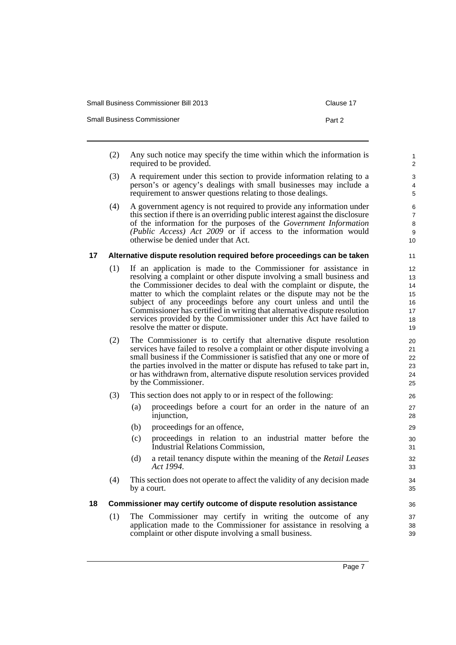| <b>Small Business Commissioner Bill 2013</b> | Clause 17 |
|----------------------------------------------|-----------|
| <b>Small Business Commissioner</b>           | Part 2    |

- (2) Any such notice may specify the time within which the information is required to be provided.
- (3) A requirement under this section to provide information relating to a person's or agency's dealings with small businesses may include a requirement to answer questions relating to those dealings.
- (4) A government agency is not required to provide any information under this section if there is an overriding public interest against the disclosure of the information for the purposes of the *Government Information (Public Access) Act 2009* or if access to the information would otherwise be denied under that Act.

## <span id="page-8-0"></span>**17 Alternative dispute resolution required before proceedings can be taken**

- (1) If an application is made to the Commissioner for assistance in resolving a complaint or other dispute involving a small business and the Commissioner decides to deal with the complaint or dispute, the matter to which the complaint relates or the dispute may not be the subject of any proceedings before any court unless and until the Commissioner has certified in writing that alternative dispute resolution services provided by the Commissioner under this Act have failed to resolve the matter or dispute.
- (2) The Commissioner is to certify that alternative dispute resolution services have failed to resolve a complaint or other dispute involving a small business if the Commissioner is satisfied that any one or more of the parties involved in the matter or dispute has refused to take part in, or has withdrawn from, alternative dispute resolution services provided by the Commissioner.
- (3) This section does not apply to or in respect of the following:
	- (a) proceedings before a court for an order in the nature of an injunction,
	- (b) proceedings for an offence,
	- (c) proceedings in relation to an industrial matter before the Industrial Relations Commission,
	- (d) a retail tenancy dispute within the meaning of the *Retail Leases Act 1994*.
- (4) This section does not operate to affect the validity of any decision made by a court.

### <span id="page-8-1"></span>**18 Commissioner may certify outcome of dispute resolution assistance**

(1) The Commissioner may certify in writing the outcome of any application made to the Commissioner for assistance in resolving a complaint or other dispute involving a small business.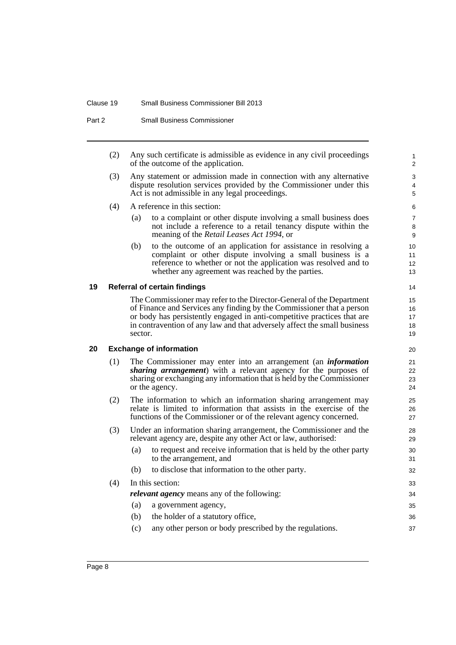#### Clause 19 Small Business Commissioner Bill 2013

Part 2 Small Business Commissioner

(2) Any such certificate is admissible as evidence in any civil proceedings of the outcome of the application.

- (3) Any statement or admission made in connection with any alternative dispute resolution services provided by the Commissioner under this Act is not admissible in any legal proceedings.
- (4) A reference in this section:
	- (a) to a complaint or other dispute involving a small business does not include a reference to a retail tenancy dispute within the meaning of the *Retail Leases Act 1994*, or
	- (b) to the outcome of an application for assistance in resolving a complaint or other dispute involving a small business is a reference to whether or not the application was resolved and to whether any agreement was reached by the parties.

#### <span id="page-9-0"></span>**19 Referral of certain findings**

The Commissioner may refer to the Director-General of the Department of Finance and Services any finding by the Commissioner that a person or body has persistently engaged in anti-competitive practices that are in contravention of any law and that adversely affect the small business sector.

## <span id="page-9-1"></span>**20 Exchange of information**

- (1) The Commissioner may enter into an arrangement (an *information sharing arrangement*) with a relevant agency for the purposes of sharing or exchanging any information that is held by the Commissioner or the agency.
- (2) The information to which an information sharing arrangement may relate is limited to information that assists in the exercise of the functions of the Commissioner or of the relevant agency concerned.
- (3) Under an information sharing arrangement, the Commissioner and the relevant agency are, despite any other Act or law, authorised:
	- (a) to request and receive information that is held by the other party to the arrangement, and
	- (b) to disclose that information to the other party.
- (4) In this section:
	- *relevant agency* means any of the following:
	- (a) a government agency,
	- (b) the holder of a statutory office,
	- (c) any other person or body prescribed by the regulations.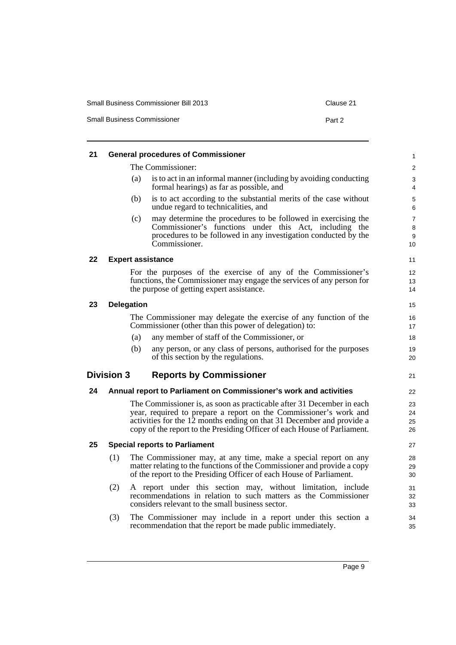| <b>Small Business Commissioner Bill 2013</b> | Clause 21 |
|----------------------------------------------|-----------|
| <b>Small Business Commissioner</b>           | Part 2    |

<span id="page-10-5"></span><span id="page-10-4"></span><span id="page-10-3"></span><span id="page-10-2"></span><span id="page-10-1"></span><span id="page-10-0"></span>

| 21 |                   |                                      | <b>General procedures of Commissioner</b>                                                                                                                                                                                                                                                       | 1                    |
|----|-------------------|--------------------------------------|-------------------------------------------------------------------------------------------------------------------------------------------------------------------------------------------------------------------------------------------------------------------------------------------------|----------------------|
|    |                   | The Commissioner:                    |                                                                                                                                                                                                                                                                                                 | $\overline{c}$       |
|    |                   | (a)                                  | is to act in an informal manner (including by avoiding conducting<br>formal hearings) as far as possible, and                                                                                                                                                                                   | 3<br>4               |
|    |                   | (b)                                  | is to act according to the substantial merits of the case without<br>undue regard to technicalities, and                                                                                                                                                                                        | 5<br>6               |
|    |                   | (c)                                  | may determine the procedures to be followed in exercising the<br>Commissioner's functions under this Act, including the<br>procedures to be followed in any investigation conducted by the<br>Commissioner.                                                                                     | 7<br>8<br>9<br>10    |
| 22 |                   | <b>Expert assistance</b>             |                                                                                                                                                                                                                                                                                                 | 11                   |
|    |                   |                                      | For the purposes of the exercise of any of the Commissioner's<br>functions, the Commissioner may engage the services of any person for<br>the purpose of getting expert assistance.                                                                                                             | 12<br>13<br>14       |
| 23 | <b>Delegation</b> |                                      |                                                                                                                                                                                                                                                                                                 | 15                   |
|    |                   |                                      | The Commissioner may delegate the exercise of any function of the<br>Commissioner (other than this power of delegation) to:                                                                                                                                                                     | 16<br>17             |
|    |                   | (a)                                  | any member of staff of the Commissioner, or                                                                                                                                                                                                                                                     | 18                   |
|    |                   | (b)                                  | any person, or any class of persons, authorised for the purposes<br>of this section by the regulations.                                                                                                                                                                                         | 19<br>20             |
|    | <b>Division 3</b> |                                      | <b>Reports by Commissioner</b>                                                                                                                                                                                                                                                                  | 21                   |
| 24 |                   |                                      | Annual report to Parliament on Commissioner's work and activities                                                                                                                                                                                                                               | 22                   |
|    |                   |                                      | The Commissioner is, as soon as practicable after 31 December in each<br>year, required to prepare a report on the Commissioner's work and<br>activities for the 12 months ending on that 31 December and provide a<br>copy of the report to the Presiding Officer of each House of Parliament. | 23<br>24<br>25<br>26 |
| 25 |                   | <b>Special reports to Parliament</b> |                                                                                                                                                                                                                                                                                                 | 27                   |
|    | (1)               |                                      | The Commissioner may, at any time, make a special report on any<br>matter relating to the functions of the Commissioner and provide a copy<br>of the report to the Presiding Officer of each House of Parliament.                                                                               | 28<br>29<br>30       |
|    | (2)               |                                      | A report under this section may, without limitation, include<br>recommendations in relation to such matters as the Commissioner<br>considers relevant to the small business sector.                                                                                                             | 31<br>32<br>33       |
|    | (3)               |                                      | The Commissioner may include in a report under this section a<br>recommendation that the report be made public immediately.                                                                                                                                                                     | 34<br>35             |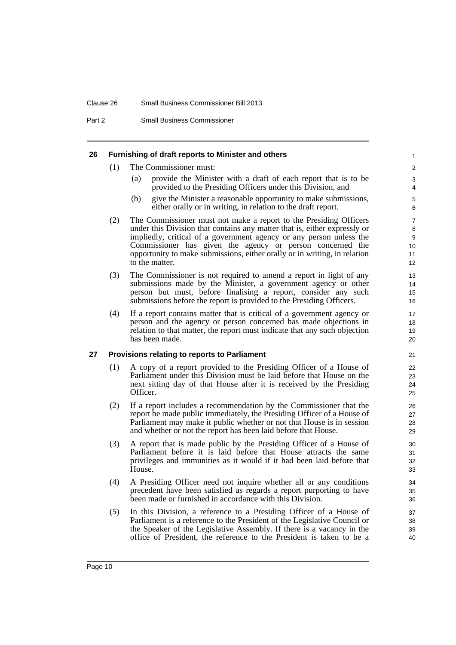#### Clause 26 Small Business Commissioner Bill 2013

Part 2 Small Business Commissioner

#### <span id="page-11-0"></span>**26 Furnishing of draft reports to Minister and others**

- (1) The Commissioner must:
	- (a) provide the Minister with a draft of each report that is to be provided to the Presiding Officers under this Division, and

- (b) give the Minister a reasonable opportunity to make submissions, either orally or in writing, in relation to the draft report.
- (2) The Commissioner must not make a report to the Presiding Officers under this Division that contains any matter that is, either expressly or impliedly, critical of a government agency or any person unless the Commissioner has given the agency or person concerned the opportunity to make submissions, either orally or in writing, in relation to the matter.
- (3) The Commissioner is not required to amend a report in light of any submissions made by the Minister, a government agency or other person but must, before finalising a report, consider any such submissions before the report is provided to the Presiding Officers.
- (4) If a report contains matter that is critical of a government agency or person and the agency or person concerned has made objections in relation to that matter, the report must indicate that any such objection has been made.

#### <span id="page-11-1"></span>**27 Provisions relating to reports to Parliament**

- (1) A copy of a report provided to the Presiding Officer of a House of Parliament under this Division must be laid before that House on the next sitting day of that House after it is received by the Presiding Officer.
- (2) If a report includes a recommendation by the Commissioner that the report be made public immediately, the Presiding Officer of a House of Parliament may make it public whether or not that House is in session and whether or not the report has been laid before that House.
- (3) A report that is made public by the Presiding Officer of a House of Parliament before it is laid before that House attracts the same privileges and immunities as it would if it had been laid before that House.
- (4) A Presiding Officer need not inquire whether all or any conditions precedent have been satisfied as regards a report purporting to have been made or furnished in accordance with this Division.
- (5) In this Division, a reference to a Presiding Officer of a House of Parliament is a reference to the President of the Legislative Council or the Speaker of the Legislative Assembly. If there is a vacancy in the office of President, the reference to the President is taken to be a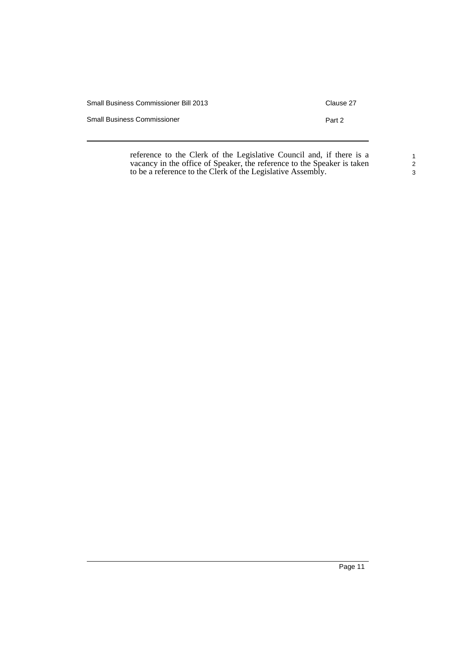| Small Business Commissioner Bill 2013 | Clause 27 |
|---------------------------------------|-----------|
| <b>Small Business Commissioner</b>    | Part 2    |
|                                       |           |

reference to the Clerk of the Legislative Council and, if there is a vacancy in the office of Speaker, the reference to the Speaker is taken to be a reference to the Clerk of the Legislative Assembly.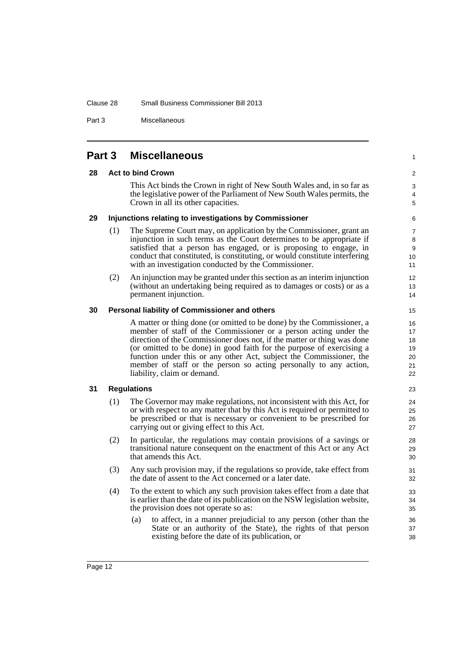#### Clause 28 Small Business Commissioner Bill 2013

Part 3 Miscellaneous

# <span id="page-13-4"></span><span id="page-13-3"></span><span id="page-13-2"></span><span id="page-13-1"></span><span id="page-13-0"></span>**Part 3 Miscellaneous 28 Act to bind Crown** This Act binds the Crown in right of New South Wales and, in so far as the legislative power of the Parliament of New South Wales permits, the Crown in all its other capacities. **29 Injunctions relating to investigations by Commissioner** (1) The Supreme Court may, on application by the Commissioner, grant an injunction in such terms as the Court determines to be appropriate if satisfied that a person has engaged, or is proposing to engage, in conduct that constituted, is constituting, or would constitute interfering with an investigation conducted by the Commissioner. (2) An injunction may be granted under this section as an interim injunction (without an undertaking being required as to damages or costs) or as a permanent injunction. **30 Personal liability of Commissioner and others** A matter or thing done (or omitted to be done) by the Commissioner, a member of staff of the Commissioner or a person acting under the direction of the Commissioner does not, if the matter or thing was done (or omitted to be done) in good faith for the purpose of exercising a function under this or any other Act, subject the Commissioner, the member of staff or the person so acting personally to any action, liability, claim or demand. **31 Regulations** (1) The Governor may make regulations, not inconsistent with this Act, for or with respect to any matter that by this Act is required or permitted to be prescribed or that is necessary or convenient to be prescribed for carrying out or giving effect to this Act. (2) In particular, the regulations may contain provisions of a savings or transitional nature consequent on the enactment of this Act or any Act that amends this Act. (3) Any such provision may, if the regulations so provide, take effect from the date of assent to the Act concerned or a later date. (4) To the extent to which any such provision takes effect from a date that is earlier than the date of its publication on the NSW legislation website, the provision does not operate so as: (a) to affect, in a manner prejudicial to any person (other than the State or an authority of the State), the rights of that person existing before the date of its publication, or

1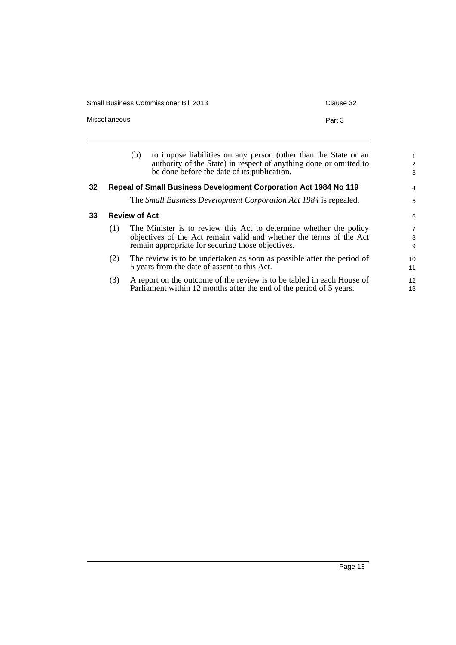Small Business Commissioner Bill 2013 Commissioner Bill 2013

1 2 3

4 5

| <b>Miscellaneous</b> | Part 3                                                                                                                                                                              |
|----------------------|-------------------------------------------------------------------------------------------------------------------------------------------------------------------------------------|
| (b)                  | to impose liabilities on any person (other than the State or an<br>authority of the State) in respect of anything done or omitted to<br>be done before the date of its publication. |

# <span id="page-14-0"></span>**32 Repeal of Small Business Development Corporation Act 1984 No 119**

The *Small Business Development Corporation Act 1984* is repealed.

#### <span id="page-14-1"></span>**33 Review of Act**

| (1) | The Minister is to review this Act to determine whether the policy  |  |  |  |  |
|-----|---------------------------------------------------------------------|--|--|--|--|
|     | objectives of the Act remain valid and whether the terms of the Act |  |  |  |  |
|     | remain appropriate for securing those objectives.                   |  |  |  |  |

- (2) The review is to be undertaken as soon as possible after the period of 5 years from the date of assent to this Act.
- (3) A report on the outcome of the review is to be tabled in each House of Parliament within 12 months after the end of the period of 5 years.